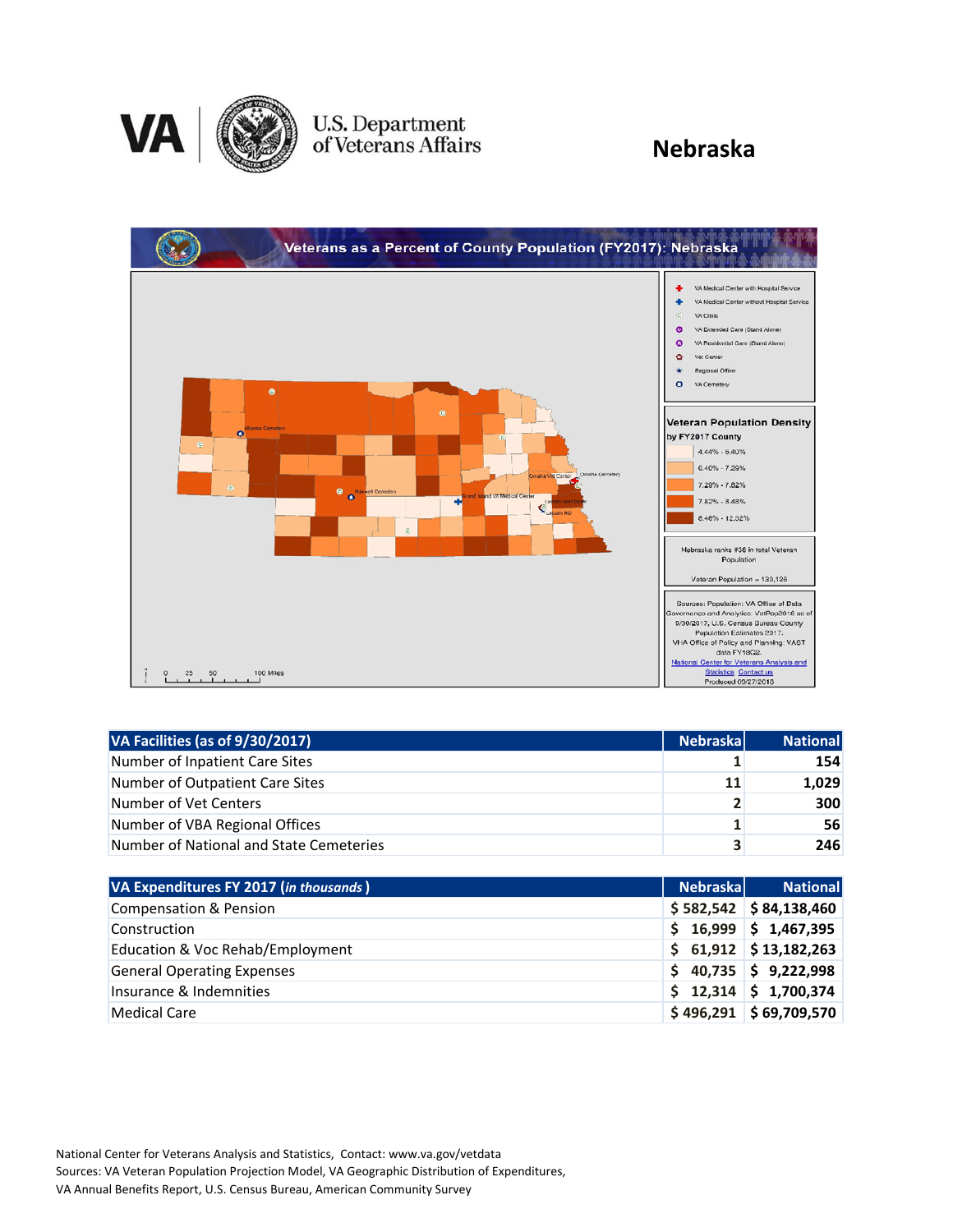

### U.S. Department<br>of Veterans Affairs

### **Nebraska**



| VA Facilities (as of 9/30/2017)         | <b>Nebraskal</b> | <b>National</b> |
|-----------------------------------------|------------------|-----------------|
| Number of Inpatient Care Sites          |                  | 154             |
| Number of Outpatient Care Sites         | 11               | 1,029           |
| Number of Vet Centers                   | $\overline{2}$   | 300             |
| Number of VBA Regional Offices          | 1 <sub>1</sub>   | 56              |
| Number of National and State Cemeteries | 3                | 246             |

| VA Expenditures FY 2017 (in thousands) | <b>Nebraskal</b> | <b>National</b>             |
|----------------------------------------|------------------|-----------------------------|
| <b>Compensation &amp; Pension</b>      |                  | $$582,542$ $$84,138,460$    |
| Construction                           |                  | $$16,999$ $$1,467,395$      |
| Education & Voc Rehab/Employment       |                  | $$61,912 \  \  $13,182,263$ |
| <b>General Operating Expenses</b>      |                  | $$40,735$ $$9,222,998$      |
| Insurance & Indemnities                |                  | $$12,314$ $$1,700,374$      |
| <b>Medical Care</b>                    |                  | $$496,291$ $$69,709,570$    |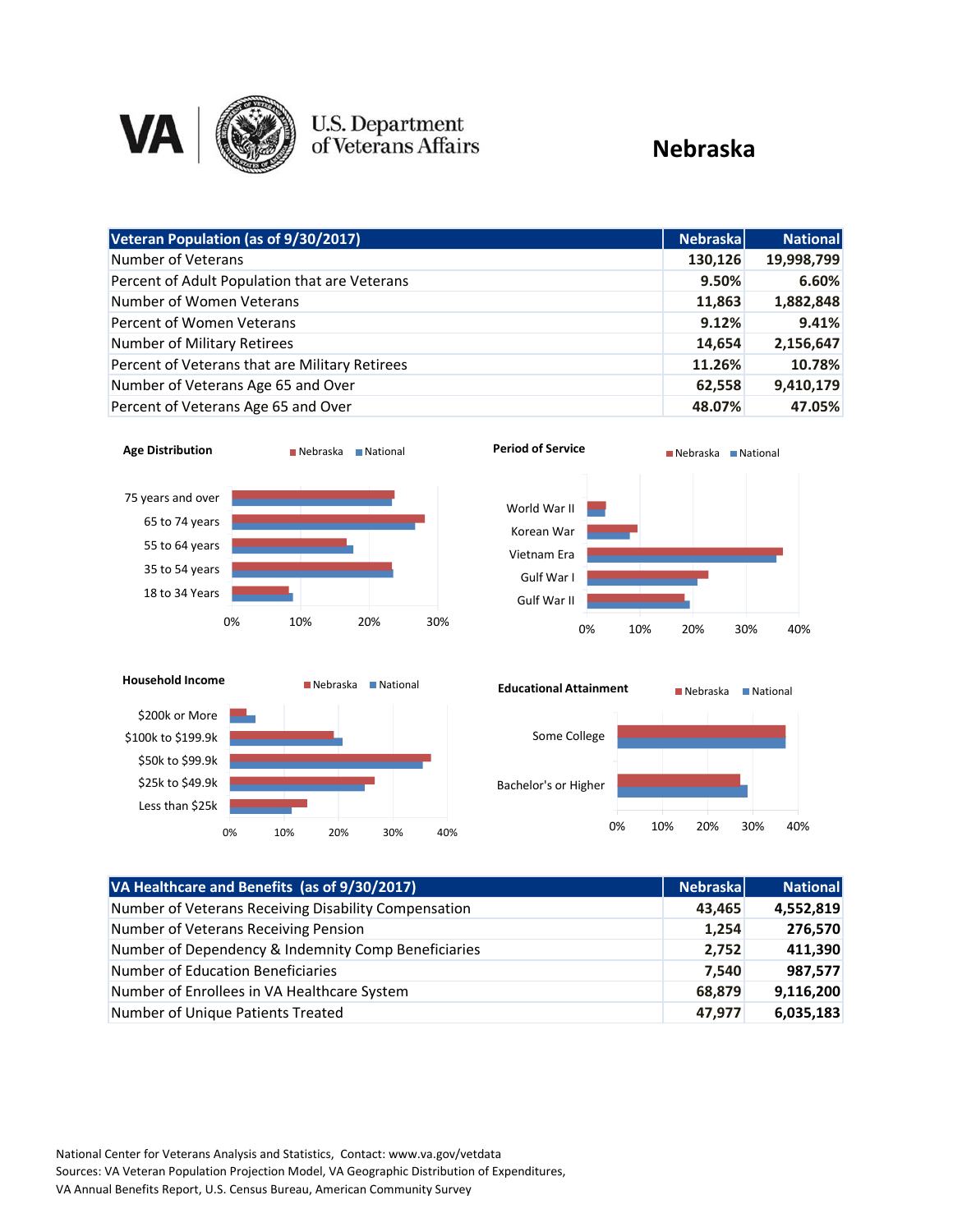

# **U.S. Department**<br>of Veterans Affairs

### **Nebraska**

| Veteran Population (as of 9/30/2017)           | <b>Nebraska</b> | <b>National</b> |
|------------------------------------------------|-----------------|-----------------|
| Number of Veterans                             | 130,126         | 19,998,799      |
| Percent of Adult Population that are Veterans  | 9.50%           | 6.60%           |
| Number of Women Veterans                       | 11,863          | 1,882,848       |
| Percent of Women Veterans                      | 9.12%           | 9.41%           |
| Number of Military Retirees                    | 14,654          | 2,156,647       |
| Percent of Veterans that are Military Retirees | 11.26%          | 10.78%          |
| Number of Veterans Age 65 and Over             | 62,558          | 9,410,179       |
| Percent of Veterans Age 65 and Over            | 48.07%          | 47.05%          |









| VA Healthcare and Benefits (as of 9/30/2017)         | <b>Nebraska</b> | <b>National</b> |
|------------------------------------------------------|-----------------|-----------------|
| Number of Veterans Receiving Disability Compensation | 43,465          | 4,552,819       |
| Number of Veterans Receiving Pension                 | 1,254           | 276,570         |
| Number of Dependency & Indemnity Comp Beneficiaries  | 2,752           | 411,390         |
| Number of Education Beneficiaries                    | 7,540           | 987,577         |
| Number of Enrollees in VA Healthcare System          | 68,879          | 9,116,200       |
| Number of Unique Patients Treated                    | 47,977          | 6,035,183       |